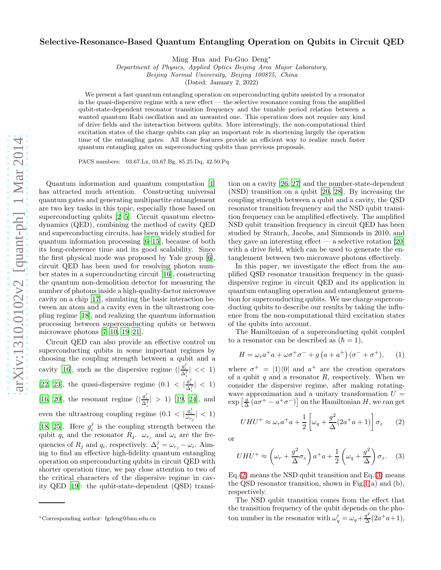## Selective-Resonance-Based Quantum Entangling Operation on Qubits in Circuit QED

Ming Hua and Fu-Guo Deng∗

Department of Physics, Applied Optics Beijing Area Major Laboratory, Beijing Normal University, Beijing 100875, China

(Dated: January 2, 2022)

We present a fast quantum entangling operation on superconducting qubits assisted by a resonator in the quasi-dispersive regime with a new effect — the selective resonance coming from the amplified qubit-state-dependent resonator transition frequency and the tunable period relation between a wanted quantum Rabi oscillation and an unwanted one. This operation does not require any kind of drive fields and the interaction between qubits. More interestingly, the non-computational third excitation states of the charge qubits can play an important role in shortening largely the operation time of the entangling gates. All those features provide an efficient way to realize much faster quantum entangling gates on superconducting qubits than previous proposals.

PACS numbers: 03.67.Lx, 03.67.Bg, 85.25.Dq, 42.50.Pq

Quantum information and quantum computation [\[1](#page-4-0)] has attracted much attention. Constructing universal quantum gates and generating multipartite entanglement are two key tasks in this topic, especially those based on superconducting qubits [\[2](#page-4-1)[–5\]](#page-4-2). Circuit quantum electrodynamics (QED), combining the method of cavity QED and superconducting circuits, has been widely studied for quantum information processing [\[6](#page-4-3)[–15](#page-4-4)], because of both its long-coherence time and its good scalability. Since the first physical mode was proposed by Yale group [\[6\]](#page-4-3), circuit QED has been used for resolving photon number states in a superconducting circuit [\[16\]](#page-4-5), constructing the quantum non-demolition detector for measuring the number of photons inside a high-quality-factor microwave cavity on a chip [\[17\]](#page-4-6), simulating the basic interaction between an atom and a cavity even in the ultrastrong coupling regime [\[18\]](#page-4-7), and realizing the quantum information processing between superconducting qubits or between microwave photons [\[7](#page-4-8)[–10,](#page-4-9) [19](#page-4-10)[–21\]](#page-4-11).

Circuit QED can also provide an effective control on superconducting qubits in some important regimes by choosing the coupling strength between a qubit and a cavity [\[16](#page-4-5)], such as the dispersive regime  $\left(\frac{g_i^j}{\Delta_i^j}\right| \ll 1$ [\[22,](#page-4-12) [23](#page-4-13)], the quasi-dispersive regime  $(0.1 \lt |\frac{g_i^j}{\Delta_i^j}| \lt 1)$ i [\[16,](#page-4-5) [20](#page-4-14)], the resonant regime  $(|\frac{g_i^j}{\Delta_i^j}| > 1)$  [\[19,](#page-4-10) [24\]](#page-4-15), and even the ultrastrong coupling regime  $(0.1 < |\frac{g_i^j}{\omega_{r_j}}| < 1)$ [\[18,](#page-4-7) [25\]](#page-4-16). Here  $g_i^j$  is the coupling strength between the qubit  $q_i$  and the resonator  $R_j$ .  $\omega_{r_j}$  and  $\omega_i$  are the frequencies of  $R_j$  and  $q_i$ , respectively.  $\Delta_i^j = \omega_{r_j} - \omega_i$ . Aiming to find an effective high-fidelity quantum entangling operation on superconducting qubits in circuit QED with shorter operation time, we pay close attention to two of the critical characters of the dispersive regime in cavity QED [\[19\]](#page-4-10): the qubit-state-dependent (QSD) transi-

tion on a cavity [\[26,](#page-4-17) [27](#page-4-18)] and the number-state-dependent (NSD) transition on a qubit [\[20,](#page-4-14) [28\]](#page-4-19). By increasing the coupling strength between a qubit and a cavity, the QSD resonator transition frequency and the NSD qubit transition frequency can be amplified effectively. The amplified NSD qubit transition frequency in circuit QED has been studied by Strauch, Jacobs, and Simmonds in 2010, and they gave an interesting effect  $-$  a selective rotation [\[20](#page-4-14)] with a drive field, which can be used to generate the entanglement between two microwave photons effectively.

In this paper, we investigate the effect from the amplified QSD resonator transition frequency in the quasidispersive regime in circuit QED and its application in quantum entangling operation and entanglement generation for superconducting qubits. We use charge superconducting qubits to describe our results by taking the influence from the non-computational third excitation states of the qubits into account.

The Hamiltonian of a superconducting qubit coupled to a resonator can be described as  $(\hbar = 1)$ ,

$$
H = \omega_r a^+ a + \omega \sigma^+ \sigma^- + g \left( a + a^+ \right) \left( \sigma^- + \sigma^+ \right), \qquad (1)
$$

where  $\sigma^+ = |1\rangle\langle 0|$  and  $a^+$  are the creation operators of a qubit q and a resonator  $R$ , respectively. When we consider the dispersive regime, after making rotatingwave approximation and a unitary transformation  $U =$  $\exp\left[\frac{g}{\Delta}(a\sigma^+ - a^+\sigma^-)\right]$  on the Hamiltonian H, we can get

<span id="page-0-0"></span>
$$
UHU^{+} \approx \omega_{r}a^{+}a + \frac{1}{2}\left[\omega_{q} + \frac{g^{2}}{\Delta}(2a^{+}a + 1)\right]\sigma_{z}
$$
 (2)

or

<span id="page-0-1"></span>
$$
UHU^{+} \approx \left(\omega_r + \frac{g^2}{\Delta}\sigma_z\right)a^{+}a + \frac{1}{2}\left(\omega_q + \frac{g^2}{\Delta}\right)\sigma_z.
$$
 (3)

 $Eq.(2)$  $Eq.(2)$  means the NSD qubit transition and  $Eq.(3)$  $Eq.(3)$  means the QSD resonator transition, shown in Fig[.1\(](#page-1-0)a) and (b), respectively.

The NSD qubit transition comes from the effect that the transition frequency of the qubit depends on the photon number in the resonator with  $\omega'_q = \omega_q + \frac{g^2}{\Delta}$  $\frac{g^2}{\Delta}(2a^+a+1),$ 

<sup>∗</sup>Corresponding author: fgdeng@bnu.edu.cn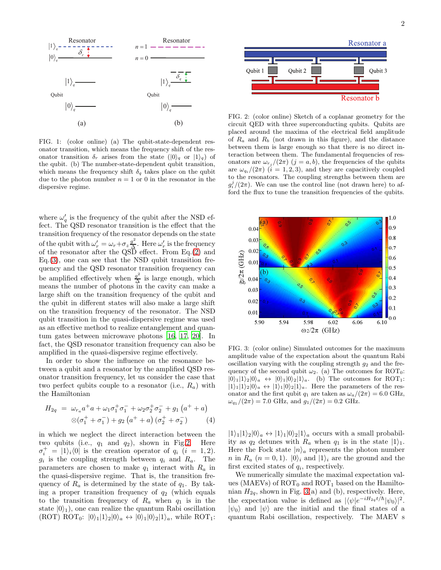

<span id="page-1-0"></span>FIG. 1: (color online) (a) The qubit-state-dependent resonator transition, which means the frequency shift of the resonator transition  $\delta_r$  arises from the state  $(|0\rangle_q$  or  $|1\rangle_q$ ) of the qubit. (b) The number-state-dependent qubit transition, which means the frequency shift  $\delta_q$  takes place on the qubit due to the photon number  $n = 1$  or 0 in the resonator in the dispersive regime.

where  $\omega'_{q}$  is the frequency of the qubit after the NSD effect. The QSD resonator transition is the effect that the transition frequency of the resonator depends on the state of the qubit with  $\omega'_r = \omega_r + \sigma_z \frac{g^2}{\Delta}$  $\frac{g}{\Delta}$ . Here  $\omega'_r$  is the frequency of the resonator after the QSD effect. From Eq.[\(2\)](#page-0-0) and Eq.[\(3\)](#page-0-1), one can see that the NSD qubit transition frequency and the QSD resonator transition frequency can be amplified effectively when  $\frac{g^2}{\Delta}$  $\frac{g}{\Delta}$  is large enough, which means the number of photons in the cavity can make a large shift on the transition frequency of the qubit and the qubit in different states will also make a large shift on the transition frequency of the resonator. The NSD qubit transition in the quasi-dispersive regime was used as an effective method to realize entanglement and quantum gates between microwave photons [\[16,](#page-4-5) [17,](#page-4-6) [20\]](#page-4-14). In fact, the QSD resonator transition frequency can also be amplified in the quasi-dispersive regime effectively.

In order to show the influence on the resonance between a qubit and a resonator by the amplified QSD resonator transition frequency, let us consider the case that two perfect qubits couple to a resonator (i.e.,  $R_a$ ) with the Hamiltonian

$$
H_{2q} = \omega_{r_a} a^+ a + \omega_1 \sigma_1^+ \sigma_1^- + \omega_2 \sigma_2^+ \sigma_2^- + g_1 (a^+ + a)
$$
  
 
$$
\otimes (\sigma_1^+ + \sigma_1^-) + g_2 (a^+ + a) (\sigma_2^+ + \sigma_2^-)
$$
 (4)

in which we neglect the direct interaction between the two qubits (i.e.,  $q_1$  and  $q_2$ ), shown in Fig[.2.](#page-1-1) Here  $\sigma_i^+ = |1\rangle_i\langle 0|$  is the creation operator of  $q_i$  (i = 1,2).  $g_i$  is the coupling strength between  $q_i$  and  $R_a$ . The parameters are chosen to make  $q_1$  interact with  $R_a$  in the quasi-dispersive regime. That is, the transition frequency of  $R_a$  is determined by the state of  $q_1$ . By taking a proper transition frequency of  $q_2$  (which equals to the transition frequency of  $R_a$  when  $q_1$  is in the state  $|0\rangle_1$ , one can realize the quantum Rabi oscillation  $(ROT) ROT_0: |0\rangle_1|1\rangle_2|0\rangle_a \leftrightarrow |0\rangle_1|0\rangle_2|1\rangle_a$ , while ROT<sub>1</sub>:



<span id="page-1-1"></span>FIG. 2: (color online) Sketch of a coplanar geometry for the circuit QED with three superconducting qubits. Qubits are placed around the maxima of the electrical field amplitude of  $R_a$  and  $R_b$  (not drawn in this figure), and the distance between them is large enough so that there is no direct interaction between them. The fundamental frequencies of resonators are  $\omega_{r_i}/(2\pi)$   $(j = a, b)$ , the frequencies of the qubits are  $\omega_{q_i}/(2\pi)$   $(i = 1, 2, 3)$ , and they are capacitively coupled to the resonators. The coupling strengths between them are  $g_i^j/(2\pi)$ . We can use the control line (not drawn here) to afford the flux to tune the transition frequencies of the qubits.



<span id="page-1-2"></span>FIG. 3: (color online) Simulated outcomes for the maximum amplitude value of the expectation about the quantum Rabi oscillation varying with the coupling strength  $g_2$  and the frequency of the second qubit  $\omega_2$ . (a) The outcomes for ROT<sub>0</sub>:  $|0\rangle_1|1\rangle_2|0\rangle_a$   $\leftrightarrow$   $|0\rangle_1|0\rangle_2|1\rangle_a$  . (b) The outcomes for ROT<sub>1</sub>:  $|1\rangle_1|1\rangle_2|0\rangle_a \leftrightarrow |1\rangle_1|0\rangle_2|1\rangle_a$ . Here the parameters of the resonator and the first qubit  $q_1$  are taken as  $\omega_a/(2\pi) = 6.0 \text{ GHz}$ ,  $\omega_{q_1}/(2\pi) = 7.0$  GHz, and  $g_1/(2\pi) = 0.2$  GHz.

 $|1\rangle_1|1\rangle_2|0\rangle_a \leftrightarrow |1\rangle_1|0\rangle_2|1\rangle_a$  occurs with a small probability as  $q_2$  detunes with  $R_a$  when  $q_1$  is in the state  $|1\rangle_1$ . Here the Fock state  $|n\rangle_a$  represents the photon number *n* in  $R_a$   $(n = 0, 1)$ .  $|0\rangle_i$  and  $|1\rangle_i$  are the ground and the first excited states of  $q_i$ , respectively.

We numerically simulate the maximal expectation values (MAEVs) of  $ROT_0$  and  $ROT_1$  based on the Hamiltonian  $H_{2q}$ , shown in Fig. [3\(](#page-1-2)a) and (b), respectively. Here, the expectation value is defined as  $|\langle \psi|e^{-iH_{2q}t/\hbar}|\psi_0\rangle|^2$ .  $|\psi_0\rangle$  and  $|\psi\rangle$  are the initial and the final states of a quantum Rabi oscillation, respectively. The MAEV s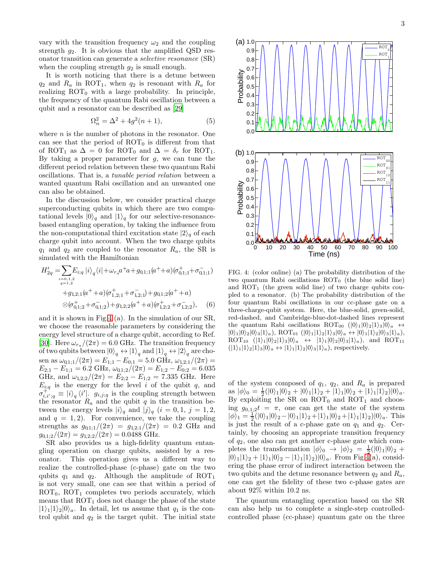vary with the transition frequency  $\omega_2$  and the coupling strength  $g_2$ . It is obvious that the amplified QSD resonator transition can generate a selective resonance (SR) when the coupling strength  $g_2$  is small enough.

It is worth noticing that there is a detune between  $q_2$  and  $R_a$  in ROT<sub>1</sub>, when  $q_2$  is resonant with  $R_a$  for realizing  $ROT_0$  with a large probability. In principle, the frequency of the quantum Rabi oscillation between a qubit and a resonator can be described as [\[29\]](#page-4-20)

$$
\Omega_n^2 = \Delta^2 + 4g^2(n+1),\tag{5}
$$

where  $n$  is the number of photons in the resonator. One can see that the period of  $\text{ROT}_0$  is different from that of ROT<sub>1</sub> as  $\Delta = 0$  for ROT<sub>0</sub> and  $\Delta = \delta_r$  for ROT<sub>1</sub>. By taking a proper parameter for  $g$ , we can tune the different period relation between these two quantum Rabi oscillations. That is, a tunable period relation between a wanted quantum Rabi oscillation and an unwanted one can also be obtained.

In the discussion below, we consider practical charge superconducting qubits in which there are two computational levels  $|0\rangle_q$  and  $|1\rangle_q$  for our selective-resonancebased entangling operation, by taking the influence from the non-computational third excitation state  $|2\rangle_q$  of each charge qubit into account. When the two charge qubits  $q_1$  and  $q_2$  are coupled to the resonator  $R_a$ , the SR is simulated with the Hamiltonian

$$
H'_{2q} = \sum_{\substack{i=0,1,2\\q=1,2}} E_{i;q} |i\rangle_q \langle i| + \omega_{ra} a^+ a + g_{0,1;1}(a^+ + a)(\sigma_{0,1;1}^+ + \sigma_{0,1;1}^-)
$$
  
+ 
$$
g_{1,2;1}(a^+ + a)(\sigma_{1,2;1}^+ + \sigma_{1,2;1}^-) + g_{0,1;2}(a^+ + a)
$$
  

$$
\otimes (\sigma_{0,1;2}^+ + \sigma_{0,1;2}^-) + g_{1,2;2}(a^+ + a)(\sigma_{1,2;2}^+ + \sigma_{1,2;2}^-),
$$
 (6)

and it is shown in Fig[.4](#page-2-0) (a). In the simulation of our SR, we choose the reasonable parameters by considering the energy level structure of a charge qubit, according to Ref. [\[30\]](#page-4-21). Here  $\omega_{r_a}/(2\pi) = 6.0$  GHz. The transition frequency of two qubits between  $|0\rangle_q \leftrightarrow |1\rangle_q$  and  $|1\rangle_q \leftrightarrow |2\rangle_q$  are chosen as  $\omega_{0,1;1}/(2\pi) = E_{1;1} - E_{0;1} = 5.0 \text{ GHz}, \omega_{1,2;1}/(2\pi) =$  $E_{2,1} - E_{1,1} = 6.2 \text{ GHz}, \ \omega_{0,1,2}/(2\pi) = E_{1,2} - E_{0,2} = 6.035$ GHz, and  $\omega_{1,2;2}/(2\pi) = E_{2;2} - E_{1;2} = 7.335$  GHz. Here  $E_{i;q}$  is the energy for the level i of the qubit q, and  $\sigma_{i,i';q}^{\ddot{i}} \equiv |i\rangle_q \langle i'|$ .  $g_{i,j;q}$  is the coupling strength between the resonator  $R_a$  and the qubit q in the transition between the energy levels  $|i\rangle_q$  and  $|j\rangle_q$   $(i = 0, 1, j = 1, 2,$ and  $q = 1, 2$ . For convenience, we take the coupling strengths as  $g_{0,1;1}/(2\pi) = g_{1,2;1}/(2\pi) = 0.2$  GHz and  $g_{0,1,2}/(2\pi) = g_{1,2,2}/(2\pi) = 0.0488 \text{ GHz}.$ 

SR also provides us a high-fidelity quantum entangling operation on charge qubits, assisted by a resonator. This operation gives us a different way to realize the controlled-phase (c-phase) gate on the two qubits  $q_1$  and  $q_2$ . Although the amplitude of ROT<sub>1</sub> is not very small, one can see that within a period of  $ROT_0$ ,  $ROT_1$  completes two periods accurately, which means that  $\text{ROT}_1$  does not change the phase of the state  $|1\rangle_1|1\rangle_2|0\rangle_a$ . In detail, let us assume that  $q_1$  is the control qubit and  $q_2$  is the target qubit. The initial state



<span id="page-2-0"></span>FIG. 4: (color online) (a) The probability distribution of the two quantum Rabi oscillations  $\text{ROT}_0$  (the blue solid line) and  $ROT<sub>1</sub>$  (the green solid line) of two charge qubits coupled to a resonator. (b) The probability distribution of the four quantum Rabi oscillations in our cc-phase gate on a three-charge-qubit system. Here, the blue-solid, green-solid, red-dashed, and Cambridge-blue-dot-dashed lines represent the quantum Rabi oscillations ROT<sub>00</sub>  $(|0\rangle_1|0\rangle_2|1\rangle_3|0\rangle_a \leftrightarrow$  $|0\rangle_1|0\rangle_2|0\rangle_3|1\rangle_a)$ , ROT<sub>01</sub>  $(|0\rangle_1|1\rangle_2|1\rangle_3|0\rangle_a \leftrightarrow |0\rangle_1|1\rangle_2|0\rangle_3|1\rangle_a)$ ,  $ROT_{10}$   $(|1\rangle_1|0\rangle_2|1\rangle_3|0\rangle_a \leftrightarrow |1\rangle_1|0\rangle_2|0\rangle_3|1\rangle_a)$ , and ROT<sub>11</sub>  $(|1\rangle_1|1\rangle_2|1\rangle_3|0\rangle_a \leftrightarrow |1\rangle_1|1\rangle_2|0\rangle_3|1\rangle_a)$ , respectively.

of the system composed of  $q_1$ ,  $q_2$ , and  $R_a$  is prepared as  $|\phi\rangle_0 = \frac{1}{2}(|0\rangle_1|0\rangle_2 + |0\rangle_1|1\rangle_2 + |1\rangle_1|0\rangle_2 + |1\rangle_1|1\rangle_2)|0\rangle_a.$ By exploiting the SR on  $\mathrm{ROT}_0$  and  $\mathrm{ROT}_1$  and choosing  $g_{0,1,2}t = \pi$ , one can get the state of the system  $|\phi\rangle_1 = \frac{1}{2}(|0\rangle_1|0\rangle_2 - |0\rangle_1|1\rangle_2 + |1\rangle_1|0\rangle_2 + |1\rangle_1|1\rangle_2)|0\rangle_a$ . This is just the result of a c-phase gate on  $q_1$  and  $q_2$ . Certainly, by choosing an appropriate transition frequency of q2, one also can get another c-phase gate which completes the transformation  $|\phi\rangle_0 \rightarrow |\phi\rangle_2 = \frac{1}{2}(|0\rangle_1 |0\rangle_2 +$  $|0\rangle_1|1\rangle_2 + |1\rangle_1|0\rangle_2 - |1\rangle_1|1\rangle_2|0\rangle_a$ . From Fig[.4\(](#page-2-0)a), considering the phase error of indirect interaction between the two qubits and the detune resonance between  $q_2$  and  $R_a$ , one can get the fidelity of these two c-phase gates are about 92% within 10.2 ns.

The quantum entangling operation based on the SR can also help us to complete a single-step controlledcontrolled phase (cc-phase) quantum gate on the three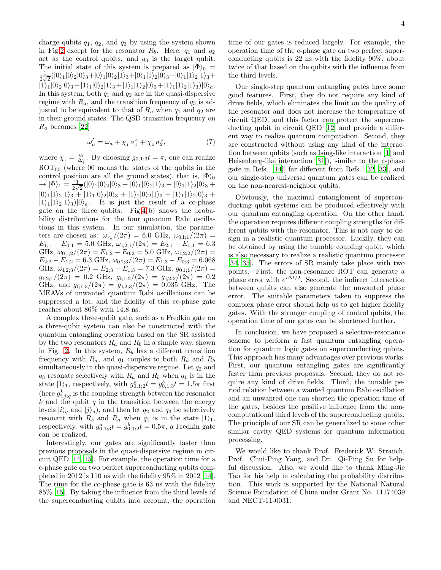charge qubits  $q_1$ ,  $q_2$ , and  $q_3$  by using the system shown in Fig[.2](#page-1-1) except for the resonator  $R_b$ . Here,  $q_1$  and  $q_2$ act as the control qubits, and  $q_3$  is the target qubit. The initial state of this system is prepared as  $|\Phi\rangle_0 =$ 1  $\frac{1}{2\sqrt{2}}(|0\rangle_1|0\rangle_2|0\rangle_3+|0\rangle_1|0\rangle_2|1\rangle_3+|0\rangle_1|1\rangle_2|0\rangle_3+|0\rangle_1|1\rangle_2|1\rangle_3+$  $|1\rangle_1|0\rangle_2|0\rangle_3+|1\rangle_1|0\rangle_2|1\rangle_3+|1\rangle_1|1\rangle_2|0\rangle_3+|1\rangle_1|1\rangle_2|1\rangle_3)|0\rangle_a.$ In this system, both  $q_1$  and  $q_2$  are in the quasi-dispersive regime with  $R_a$ , and the transition frequency of  $q_3$  is adjusted to be equivalent to that of  $R_a$  when  $q_1$  and  $q_2$  are in their ground states. The QSD transition frequency on  $R_a$  becomes [\[22](#page-4-12)]

$$
\omega'_a = \omega_a + \chi_1 \,\sigma_1^z + \chi_2 \,\sigma_2^z,\tag{7}
$$

where  $\chi_i = \frac{g_i}{\Delta_i^a}$ . By choosing  $g_{0,1;3}t = \pi$ , one can realize  $ROT<sub>00</sub>$  (where 00 means the states of the qubits in the control position are all the ground states), that is,  $|\Phi\rangle_0$  $\rightarrow |\Phi\rangle_1 = \frac{1}{2}$  $\frac{1}{2\sqrt{2}}(|0\rangle_1|0\rangle_2|0\rangle_3 - |0\rangle_1|0\rangle_2|1\rangle_3 + |0\rangle_1|1\rangle_2|0\rangle_3 +$  $|0\rangle_1|1\rangle_2|1\rangle_3 + |1\rangle_1|0\rangle_2|0\rangle_3 + |1\rangle_1|0\rangle_2|1\rangle_3 + |1\rangle_1|1\rangle_2|0\rangle_3 +$  $|1\rangle_1|1\rangle_2|1\rangle_3|0\rangle_a$ . It is just the result of a cc-phase gate on the three qubits. Fig[.4\(](#page-2-0)b) shows the probability distributions for the four quantum Rabi oscillations in this system. In our simulation, the parameters are chosen as:  $\omega_{r_a}/(2\pi) = 6.0 \text{ GHz}, \ \omega_{0,1;1}/(2\pi) =$  $E_{1;1} - E_{0;1} = 5.0 \text{ GHz}, \ \omega_{1,2;1}/(2\pi) = E_{2;1} - E_{1;1} = 6.3$ GHz,  $\omega_{0,1;2}/(2\pi) = E_{1;2} - E_{0;2} = 5.0 \text{ GHz}, \omega_{1,2;2}/(2\pi) =$  $E_{2;2} - E_{1;2} = 6.3 \text{ GHz}, \ \omega_{0,1;3}/(2\pi) = E_{1;3} - E_{0;3} = 6.068$ GHz,  $\omega_{1,2,3}/(2\pi) = E_{2,3} - E_{1,3} = 7.3 \text{ GHz}, g_{0,1,1}/(2\pi) =$  $g_{1,2;1}/(2\pi) = 0.2 \text{ GHz}, g_{0,1;2}/(2\pi) = g_{1,2;2}/(2\pi) = 0.2$ GHz, and  $g_{0,1;3}/(2\pi) = g_{1,2;3}/(2\pi) = 0.035$  GHz. The MEAVs of unwanted quantum Rabi oscillations can be suppressed a lot, and the fidelity of this cc-phase gate reaches about 86% with 14.8 ns.

A complex three-qubit gate, such as a Fredkin gate on a three-qubit system can also be constructed with the quantum entangling operation based on the SR assisted by the two resonators  $R_a$  and  $R_b$  in a simple way, shown in Fig. [2.](#page-1-1) In this system,  $R_b$  has a different transition frequency with  $R_a$ , and  $q_1$  couples to both  $R_a$  and  $R_b$ simultaneously in the quasi-dispersive regime. Let  $q_2$  and  $q_3$  resonate selectively with  $R_a$  and  $R_b$  when  $q_1$  is in the state  $|1\rangle_1$ , respectively, with  $g_{0,1;2}^at = g_{0,1;3}^bt = 1.5\pi$  first (here  $g_{i,j;q}^k$  is the coupling strength between the resonator k and the qubit  $q$  in the transition between the energy levels  $|i\rangle_q$  and  $|j\rangle_q$ , and then let  $q_2$  and  $q_3$  be selectively resonant with  $R_b$  and  $R_a$  when  $q_1$  is in the state  $|1\rangle_1$ , respectively, with  $g_{0,1;3}^a t = g_{0,1;2}^b t = 0.5\pi$ , a Fredkin gate can be realized.

Interestingly, our gates are significantly faster than previous proposals in the quasi-dispersive regime in circuit QED [\[14](#page-4-22), [15](#page-4-4)]. For example, the operation time for a c-phase gate on two perfect superconducting qubits completed in 2012 is 110 ns with the fidelity 95% in 2012 [\[14\]](#page-4-22). The time for the cc-phase gate is 63 ns with the fidelity 85% [\[15\]](#page-4-4). By taking the influence from the third levels of the superconducting qubits into account, the operation

time of our gates is reduced largely. For example, the operation time of the c-phase gate on two perfect superconducting qubits is 22 ns with the fidelity 90%, about twice of that based on the qubits with the influence from the third levels.

Our single-step quantum entangling gates have some good features. First, they do not require any kind of drive fields, which eliminates the limit on the quality of the resonator and does not increase the temperature of circuit QED, and this factor can protect the superconducting qubit in circuit QED [\[12](#page-4-23)] and provide a different way to realize quantum computation. Second, they are constructed without using any kind of the interaction between qubits (such as Ising-like interaction [\[1\]](#page-4-0) and Heisenberg-like interaction [\[31\]](#page-4-24)), similar to the c-phase gate in Refs. [\[14](#page-4-22)], far different from Refs. [\[32](#page-4-25), [33\]](#page-4-26), and our single-step universal quantum gates can be realized on the non-nearest-neighbor qubits.

Obviously, the maximal entanglement of superconducting qubit systems can be produced effectively with our quantum entangling operation. On the other hand, the operation requires different coupling strengths for different qubits with the resonator. This is not easy to design in a realistic quantum processor. Luckily, they can be obtained by using the tunable coupling qubit, which is also necessary to realize a realistic quantum processor [\[34,](#page-4-27) [35\]](#page-4-28). The errors of SR mainly take place with two points. First, the non-resonance ROT can generate a phase error with  $e^{i\Delta t/2}$ . Second, the indirect interaction between qubits can also generate the unwanted phase error. The suitable parameters taken to suppress the complex phase error should help us to get higher fidelity gates. With the stronger coupling of control qubits, the operation time of our gates can be shortened further.

In conclusion, we have proposed a selective-resonance scheme to perform a fast quantum entangling operation for quantum logic gates on superconducting qubits. This approach has many advantages over previous works. First, our quantum entangling gates are significantly faster than previous proposals. Second, they do not require any kind of drive fields. Third, the tunable period relation between a wanted quantum Rabi oscillation and an unwanted one can shorten the operation time of the gates, besides the positive influence from the noncomputational third levels of the superconducting qubits. The principle of our SR can be generalized to some other similar cavity QED systems for quantum information processing.

We would like to thank Prof. Frederick W. Strauch, Prof. Chui-Ping Yang, and Dr. Qi-Ping Su for helpful discussion. Also, we would like to thank Ming-Jie Tao for his help in calculating the probability distribution. This work is supported by the National Natural Science Foundation of China under Grant No. 11174039 and NECT-11-0031.